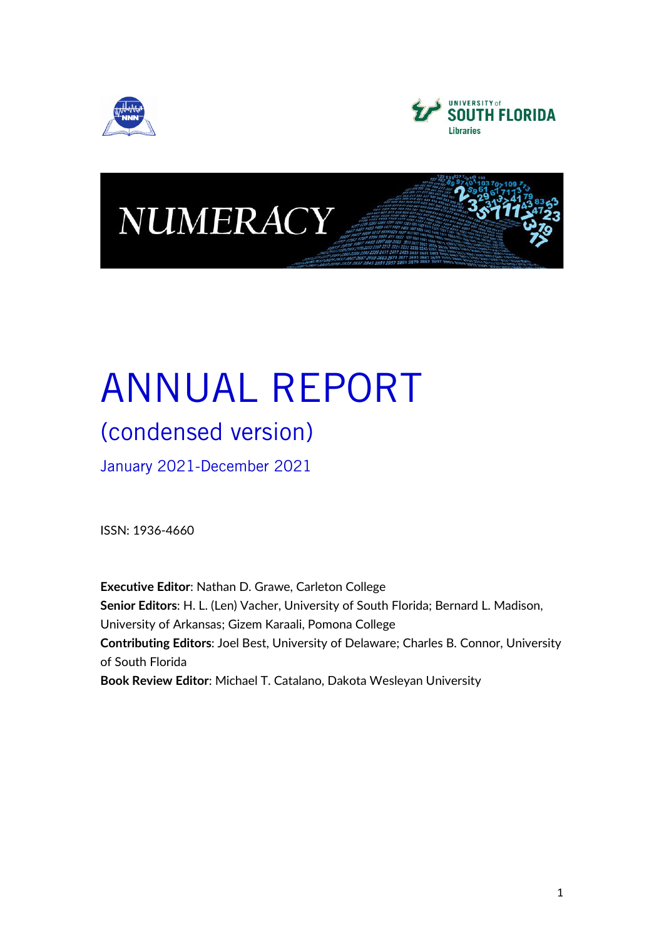





# ANNUAL REPORT

## (condensed version)

January 2021-December 2021

ISSN: 1936-4660

**Executive Editor**: Nathan D. Grawe, Carleton College **Senior Editors**: H. L. (Len) Vacher, University of South Florida; Bernard L. Madison, University of Arkansas; Gizem Karaali, Pomona College **Contributing Editors**: Joel Best, University of Delaware; Charles B. Connor, University of South Florida **Book Review Editor**: Michael T. Catalano, Dakota Wesleyan University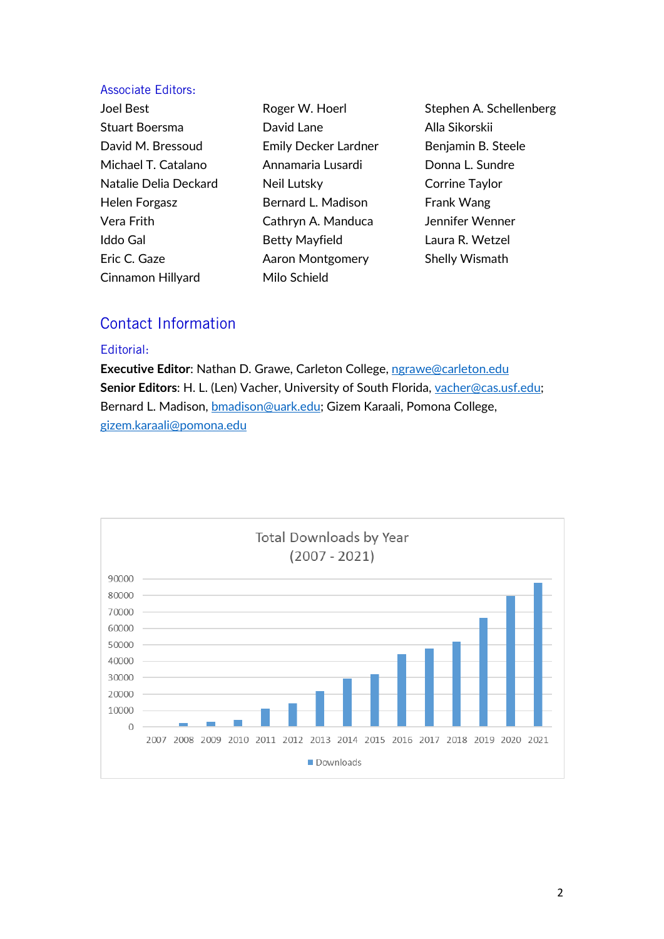#### Associate Editors:

Joel Best Stuart Boersma David M. Bressoud Michael T. Catalano Natalie Delia Deckard Helen Forgasz Vera Frith Iddo Gal Eric C. Gaze Cinnamon Hillyard

Roger W. Hoerl David Lane Emily Decker Lardner Annamaria Lusardi Neil Lutsky Bernard L. Madison Cathryn A. Manduca Betty Mayfield Aaron Montgomery Milo Schield

Stephen A. Schellenberg Alla Sikorskii Benjamin B. Steele Donna L. Sundre Corrine Taylor Frank Wang Jennifer Wenner Laura R. Wetzel Shelly Wismath

### Contact Information

#### Editorial:

**Executive Editor**: Nathan D. Grawe, Carleton College, [ngrawe@carleton.edu](mailto:ngrawe@carleton.edu) Senior Editors: H. L. (Len) Vacher, University of South Florida, [vacher@cas.usf.edu;](mailto:vacher@cas.usf.edu) Bernard L. Madison, [bmadison@uark.edu;](mailto:bmadison@uark.edu) Gizem Karaali, Pomona College, [gizem.karaali@pomona.edu](mailto:gizem.karaali@pomona.edu)